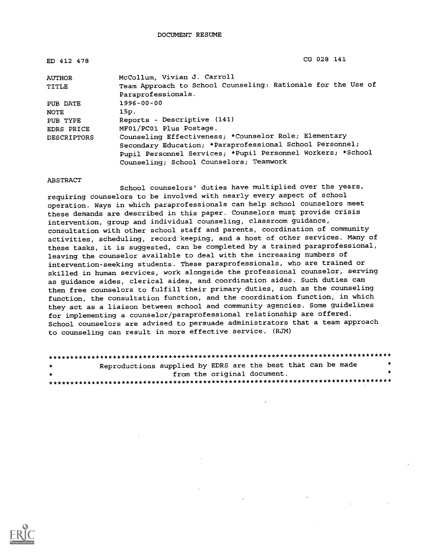| ED 412 478         | CG 028 141                                                   |  |  |  |  |  |  |
|--------------------|--------------------------------------------------------------|--|--|--|--|--|--|
| <b>AUTHOR</b>      | McCollum, Vivian J. Carroll                                  |  |  |  |  |  |  |
| TITLE              | Team Approach to School Counseling: Rationale for the Use of |  |  |  |  |  |  |
|                    | Paraprofessionals.                                           |  |  |  |  |  |  |
| PUB DATE           | $1996 - 00 - 00$                                             |  |  |  |  |  |  |
| <b>NOTE</b>        | 15p.                                                         |  |  |  |  |  |  |
| PUB TYPE           | Reports - Descriptive (141)                                  |  |  |  |  |  |  |
| <b>EDRS PRICE</b>  | MF01/PC01 Plus Postage.                                      |  |  |  |  |  |  |
| <b>DESCRIPTORS</b> | Counseling Effectiveness; *Counselor Role; Elementary        |  |  |  |  |  |  |
|                    | Secondary Education; *Paraprofessional School Personnel;     |  |  |  |  |  |  |
|                    | Pupil Personnel Services; *Pupil Personnel Workers; *School  |  |  |  |  |  |  |
|                    | Counseling; School Counselors; Teamwork                      |  |  |  |  |  |  |

ABSTRACT

School counselors' duties have multiplied over the years, requiring counselors to be involved with nearly every aspect of school operation. Ways in which paraprofessionals can help school counselors meet these demands are described in this paper. Counselors must provide crisis intervention, group and individual counseling, classroom guidance, consultation with other school staff and parents, coordination of community activities, scheduling, record keeping, and a host of other services. Many of these tasks, it is suggested, can be completed by a trained paraprofessional, leaving the counselor available to deal with the increasing numbers of intervention-seeking students. These paraprofessionals, who are trained or skilled in human services, work alongside the professional counselor, serving as guidance aides, clerical aides, and coordination aides. Such duties can then free counselors to fulfill their primary duties, such as the counseling function, the consultation function, and the coordination function, in which they act as a liaison between school and community agencies. Some guidelines for implementing a counselor/paraprofessional relationship are offered. School counselors are advised to persuade administrators that a team approach to counseling can result in more effective service. (RJM)

| * | Reproductions supplied by EDRS are the best that can be made |                             |  |  |  |  |  |  |
|---|--------------------------------------------------------------|-----------------------------|--|--|--|--|--|--|
| * |                                                              | from the original document. |  |  |  |  |  |  |
|   |                                                              |                             |  |  |  |  |  |  |

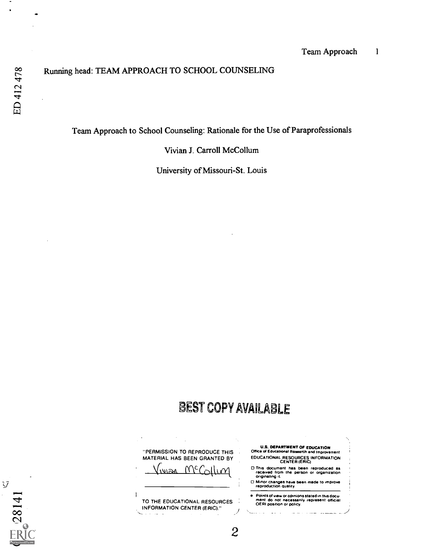$\overline{\mathcal{G}}$ 

28141

## Running head: TEAM APPROACH TO SCHOOL COUNSELING

Team Approach to School Counseling: Rationale for the Use of Paraprofessionals

Vivian J. Carroll McCollum

University of Missouri-St. Louis

# BEST COPY AVAILABLE

 $\mathbf{2}$ 

"PERMISSION TO REPRODUCE THIS MATERIAL HAS BEEN GRANTED BY  $\limsup_{n\to\infty}$   $N\Gamma$ 

TO THE EDUCATIONAL RESOURCES INFORMATION CENTER (ERIC)."

 $\alpha = 1$  .

- U.S. DEPARTMENT OF EDUCATION Office of Educational Research and Improvement EDUCATIONAL RESOURCES INFORMATION CENTER (ERIC)
- O This document has been reproduced as received from the person or organization originating it.

0 Minor changes have been made to Improve reproduction quality.

a Points of view or opinions stated in this docu- ment do not necessarily represent official OERI position or policy.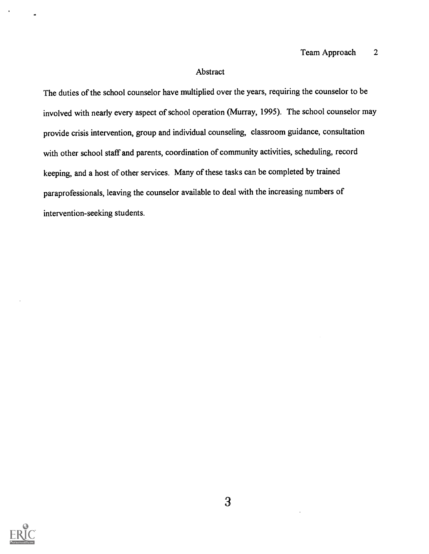### Abstract

The duties of the school counselor have multiplied over the years, requiring the counselor to be involved with nearly every aspect of school operation (Murray, 1995). The school counselor may provide crisis intervention, group and individual counseling, classroom guidance, consultation with other school staff and parents, coordination of community activities, scheduling, record keeping, and a host of other services. Many of these tasks can be completed by trained paraprofessionals, leaving the counselor available to deal with the increasing numbers of intervention-seeking students.

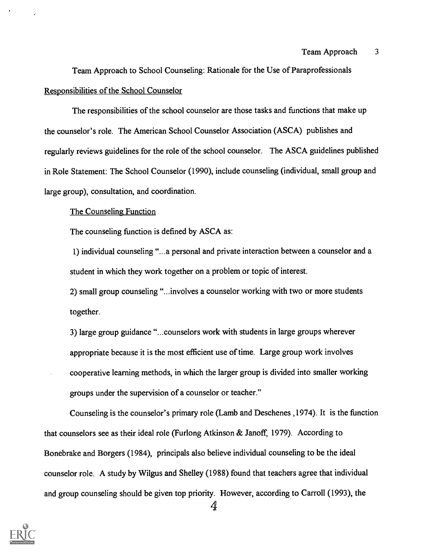Team Approach to School Counseling: Rationale for the Use of Paraprofessionals Responsibilities of the School Counselor

The responsibilities of the school counselor are those tasks and functions that make up the counselor's role. The American School Counselor Association (ASCA) publishes and regularly reviews guidelines for the role of the school counselor. The ASCA guidelines published in Role Statement: The School Counselor (1990), include counseling (individual, small group and large group), consultation, and coordination.

#### The Counseling Function

The counseling function is defined by ASCA as:

1) individual counseling "...a personal and private interaction between a counselor and a student in which they work together on a problem or topic of interest.

2) small group counseling "...involves a counselor working with two or more students together.

3) large group guidance "...counselors work with students in large groups wherever appropriate because it is the most efficient use of time. Large group work involves cooperative learning methods, in which the larger group is divided into smaller working groups under the supervision of a counselor or teacher."

Counseling is the counselor's primary role (Lamb and Deschenes ,1974). It is the function that counselors see as their ideal role (Furlong Atkinson & Janoff, 1979). According to Bonebrake and Borgers (1984), principals also believe individual counseling to be the ideal counselor role. A study by Wilgus and Shelley (1988) found that teachers agree that individual and group counseling should be given top priority. However, according to Carroll (1993), the

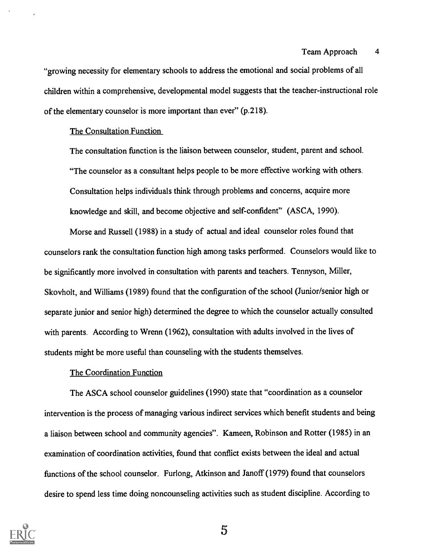#### Team Approach 4

"growing necessity for elementary schools to address the emotional and social problems of all children within a comprehensive, developmental model suggests that the teacher-instructional role of the elementary counselor is more important than ever" (p.218).

#### The Consultation Function

The consultation function is the liaison between counselor, student, parent and school. "The counselor as a consultant helps people to be more effective working with others. Consultation helps individuals think through problems and concerns, acquire more knowledge and skill, and become objective and self-confident" (ASCA, 1990).

Morse and Russell (1988) in a study of actual and ideal counselor roles found that counselors rank the consultation function high among tasks performed. Counselors would like to be significantly more involved in consultation with parents and teachers. Tennyson, Miller, Skovholt, and Williams (1989) found that the configuration of the school (Junior/senior high or separate junior and senior high) determined the degree to which the counselor actually consulted with parents. According to Wrenn (1962), consultation with adults involved in the lives of students might be more useful than counseling with the students themselves.

#### The Coordination Function

The ASCA school counselor guidelines (1990) state that "coordination as a counselor intervention is the process of managing various indirect services which benefit students and being a liaison between school and community agencies". Kameen, Robinson and Rotter (1985) in an examination of coordination activities, found that conflict exists between the ideal and actual functions of the school counselor. Furlong, Atkinson and Janoff (1979) found that counselors desire to spend less time doing noncounseling activities such as student discipline. According to

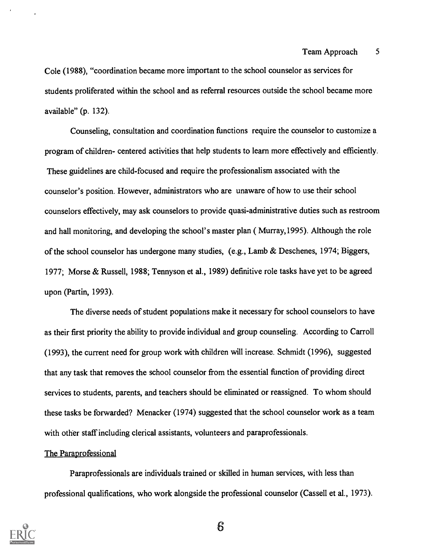Cole (1988), "coordination became more important to the school counselor as services for students proliferated within the school and as referral resources outside the school became more available" (p. 132).

Counseling, consultation and coordination functions require the counselor to customize a program of children- centered activities that help students to learn more effectively and efficiently. These guidelines are child-focused and require the professionalism associated with the counselor's position. However, administrators who are unaware of how to use their school counselors effectively, may ask counselors to provide quasi-administrative duties such as restroom and hall monitoring, and developing the school's master plan ( Murray,1995). Although the role of the school counselor has undergone many studies, (e.g., Lamb & Deschenes, 1974; Biggers, 1977; Morse & Russell, 1988; Tennyson et al., 1989) definitive role tasks have yet to be agreed upon (Partin, 1993).

The diverse needs of student populations make it necessary for school counselors to have as their first priority the ability to provide individual and group counseling. According to Carroll (1993), the current need for group work with children will increase. Schmidt (1996), suggested that any task that removes the school counselor from the essential function of providing direct services to students, parents, and teachers should be eliminated or reassigned. To whom should these tasks be forwarded? Menacker (1974) suggested that the school counselor work as a team with other staff including clerical assistants, volunteers and paraprofessionals.

#### The Paraprofessional

Paraprofessionals are individuals trained or skilled in human services, with less than professional qualifications, who work alongside the professional counselor (Cassell et al., 1973).

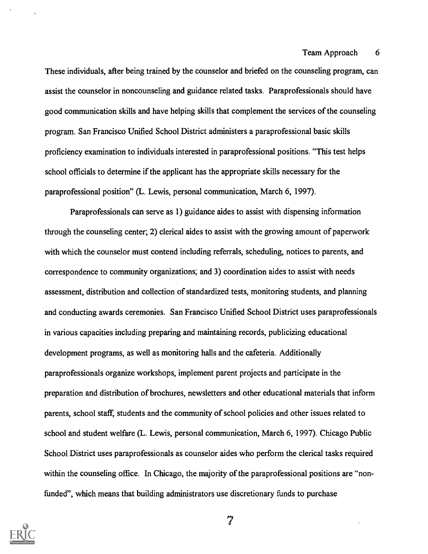These individuals, after being trained by the counselor and briefed on the counseling program, can assist the counselor in noncounseling and guidance related tasks. Paraprofessionals should have good communication skills and have helping skills that complement the services of the counseling program. San Francisco Unified School District administers a paraprofessional basic skills proficiency examination to individuals interested in paraprofessional positions. "This test helps school officials to determine if the applicant has the appropriate skills necessary for the paraprofessional position" (L. Lewis, personal communication, March 6, 1997).

Paraprofessionals can serve as 1) guidance aides to assist with dispensing information through the counseling center; 2) clerical aides to assist with the growing amount of paperwork with which the counselor must contend including referrals, scheduling, notices to parents, and correspondence to community organizations; and 3) coordination aides to assist with needs assessment, distribution and collection of standardized tests, monitoring students, and planning and conducting awards ceremonies. San Francisco Unified School District uses paraprofessionals in various capacities including preparing and maintaining records, publicizing educational development programs, as well as monitoring halls and the cafeteria. Additionally paraprofessionals organize workshops, implement parent projects and participate in the preparation and distribution of brochures, newsletters and other educational materials that inform parents, school staff, students and the community of school policies and other issues related to school and student welfare (L. Lewis, personal communication, March 6, 1997). Chicago Public School District uses paraprofessionals as counselor aides who perform the clerical tasks required within the counseling office. In Chicago, the majority of the paraprofessional positions are "nonfunded", which means that building administrators use discretionary funds to purchase

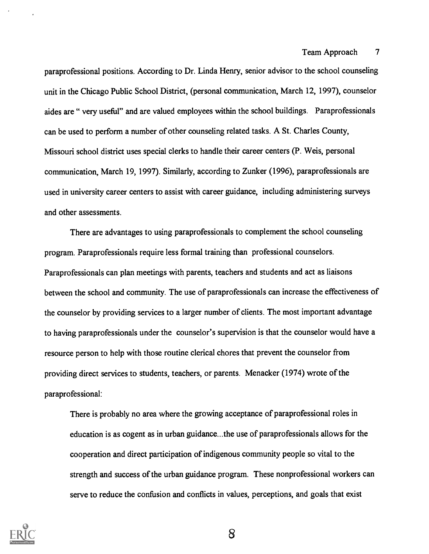paraprofessional positions. According to Dr. Linda Henry, senior advisor to the school counseling unit in the Chicago Public School District, (personal communication, March 12, 1997), counselor aides are " very useful" and are valued employees within the school buildings. Paraprofessionals can be used to perform a number of other counseling related tasks. A St. Charles County, Missouri school district uses special clerks to handle their career centers (P. Weis, personal communication, March 19, 1997). Similarly, according to Zunker (1996), paraprofessionals are used in university career centers to assist with career guidance, including administering surveys and other assessments.

There are advantages to using paraprofessionals to complement the school counseling program. Paraprofessionals require less formal training than professional counselors. Paraprofessionals can plan meetings with parents, teachers and students and act as liaisons between the school and community. The use of paraprofessionals can increase the effectiveness of the counselor by providing services to a larger number of clients. The most important advantage to having paraprofessionals under the counselor's supervision is that the counselor would have a resource person to help with those routine clerical chores that prevent the counselor from providing direct services to students, teachers, or parents. Menacker (1974) wrote of the paraprofessional:

There is probably no area where the growing acceptance of paraprofessional roles in education is as cogent as in urban guidance...the use of paraprofessionals allows for the cooperation and direct participation of indigenous community people so vital to the strength and success of the urban guidance program. These nonprofessional workers can serve to reduce the confusion and conflicts in values, perceptions, and goals that exist

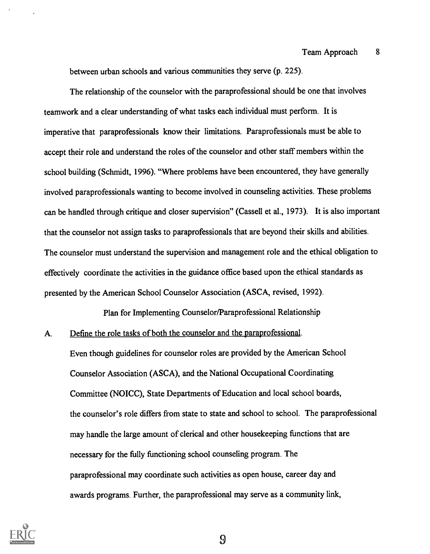between urban schools and various communities they serve (p. 225).

The relationship of the counselor with the paraprofessional should be one that involves teamwork and a clear understanding of what tasks each individual must perform. It is imperative that paraprofessionals know their limitations. Paraprofessionals must be able to accept their role and understand the roles of the counselor and other staff members within the school building (Schmidt, 1996). "Where problems have been encountered, they have generally involved paraprofessionals wanting to become involved in counseling activities. These problems can be handled through critique and closer supervision" (Cassell et al., 1973). It is also important that the counselor not assign tasks to paraprofessionals that are beyond their skills and abilities. The counselor must understand the supervision and management role and the ethical obligation to effectively coordinate the activities in the guidance office based upon the ethical standards as presented by the American School Counselor Association (ASCA, revised, 1992).

Plan for Implementing Counselor/Paraprofessional Relationship

A. Define the role tasks of both the counselor and the paraprofessional.

Even though guidelines for counselor roles are provided by the American School Counselor Association (ASCA), and the National Occupational Coordinating Committee (NOICC), State Departments of Education and local school boards, the counselor's role differs from state to state and school to school. The paraprofessional may handle the large amount of clerical and other housekeeping functions that are necessary for the fully functioning school counseling program. The paraprofessional may coordinate such activities as open house, career day and awards programs. Further, the paraprofessional may serve as a community link,

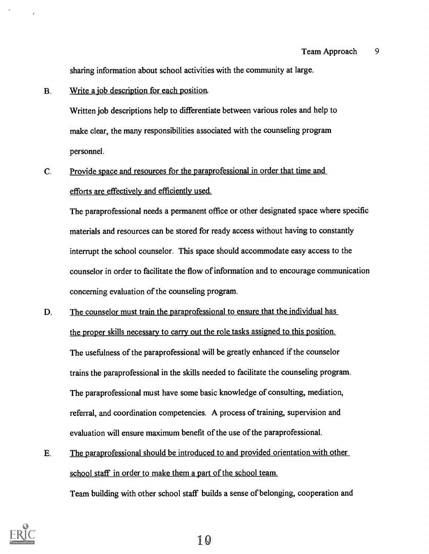sharing information about school activities with the community at large.

### B. Write a job description for each position.

Written job descriptions help to differentiate between various roles and help to make clear, the many responsibilities associated with the counseling program personnel.

# C. Provide space and resources for the paraprofessional in order that time and efforts are effectively and efficiently used.

The paraprofessional needs a permanent office or other designated space where specific materials and resources can be stored for ready access without having to constantly interrupt the school counselor. This space should accommodate easy access to the counselor in order to facilitate the flow of information and to encourage communication concerning evaluation of the counseling program.

- D. The counselor must train the paraprofessional to ensure that the individual has the proper skills necessary to carry out the role tasks assigned to this position. The usefulness of the paraprofessional will be greatly enhanced if the counselor trains the paraprofessional in the skills needed to facilitate the counseling program. The paraprofessional must have some basic knowledge of consulting, mediation, referral, and coordination competencies. A process of training, supervision and evaluation will ensure maximum benefit of the use of the paraprofessional.
- E. The paraprofessional should be introduced to and provided orientation with other school staff in order to make them a part of the school team. Team building with other school staff builds a sense of belonging, cooperation and



1.0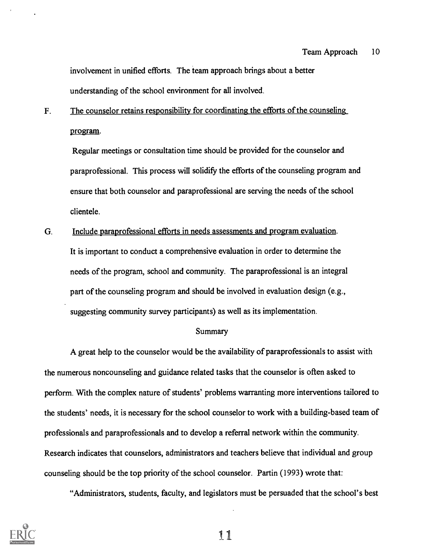involvement in unified efforts. The team approach brings about a better understanding of the school environment for all involved.

F. The counselor retains responsibility for coordinating the efforts of the counseling program.

Regular meetings or consultation time should be provided for the counselor and paraprofessional. This process will solidify the efforts of the counseling program and ensure that both counselor and paraprofessional are serving the needs of the school clientele.

G. Include paraprofessional efforts in needs assessments and program evaluation. It is important to conduct a comprehensive evaluation in order to determine the needs of the program, school and community. The paraprofessional is an integral part of the counseling program and should be involved in evaluation design (e.g., suggesting community survey participants) as well as its implementation.

#### **Summary**

A great help to the counselor would be the availability of paraprofessionals to assist with the numerous noncounseling and guidance related tasks that the counselor is often asked to perform. With the complex nature of students' problems warranting more interventions tailored to the students' needs, it is necessary for the school counselor to work with a building-based team of professionals and paraprofessionals and to develop a referral network within the community. Research indicates that counselors, administrators and teachers believe that individual and group counseling should be the top priority of the school counselor. Partin (1993) wrote that:

"Administrators, students, faculty, and legislators must be persuaded that the school's best

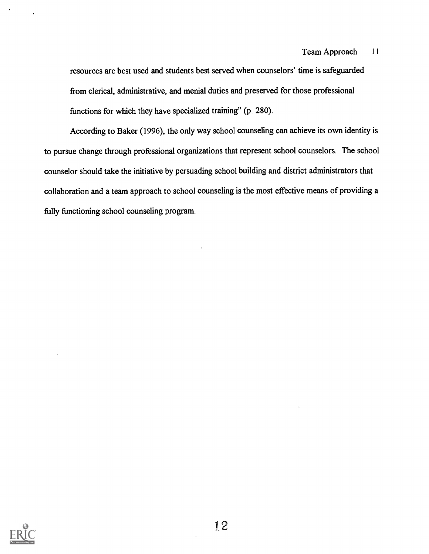resources are best used and students best served when counselors' time is safeguarded from clerical, administrative, and menial duties and preserved for those professional functions for which they have specialized training" (p. 280).

According to Baker (1996), the only way school counseling can achieve its own identity is to pursue change through professional organizations that represent school counselors. The school counselor should take the initiative by persuading school building and district administrators that collaboration and a team approach to school counseling is the most effective means of providing a fully functioning school counseling program.

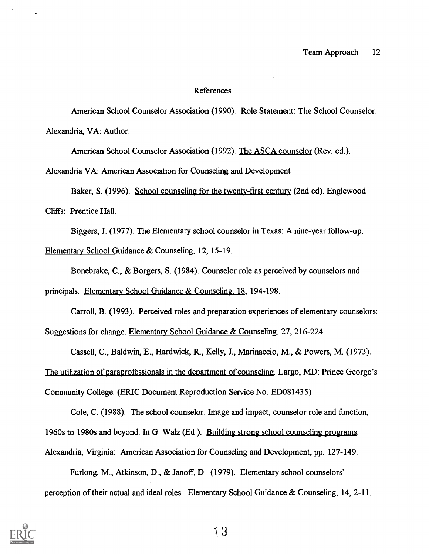#### References

American School Counselor Association (1990). Role Statement: The School Counselor. Alexandria, VA: Author.

American School Counselor Association (1992). The ASCA counselor (Rev. ed.).

Alexandria VA: American Association for Counseling and Development

Baker, S. (1996). School counseling for the twenty-first century (2nd ed). Englewood

Cliffs: Prentice Hall.

Biggers, J. (1977). The Elementary school counselor in Texas: A nine-year follow-up.

Elementary School Guidance & Counseling. 12, 15-19.

Bonebrake, C., & Borgers, S. (1984). Counselor role as perceived by counselors and

principals. Elementary School Guidance & Counseling, 18, 194-198.

Carroll, B. (1993). Perceived roles and preparation experiences of elementary counselors: Suggestions for change. Elementary School Guidance & Counseling, 27, 216-224.

Cassell, C., Baldwin, E., Hardwick, R., Kelly, J., Marinaccio, M., & Powers, M. (1973). The utilization of paraprofessionals in the department of counseling. Largo, MD: Prince George's Community College. (ERIC Document Reproduction Service No. ED081435)

Cole, C. (1988). The school counselor: Image and impact, counselor role and function, 1960s to 1980s and beyond. In G. Walz (Ed.). Building strong school counseling programs.

Alexandria, Virginia: American Association for Counseling and Development, pp. 127-149.

Furlong, M., Atkinson, D., & Janoff, D. (1979). Elementary school counselors' perception of their actual and ideal roles. Elementary School Guidance & Counseling, 14, 2-11.

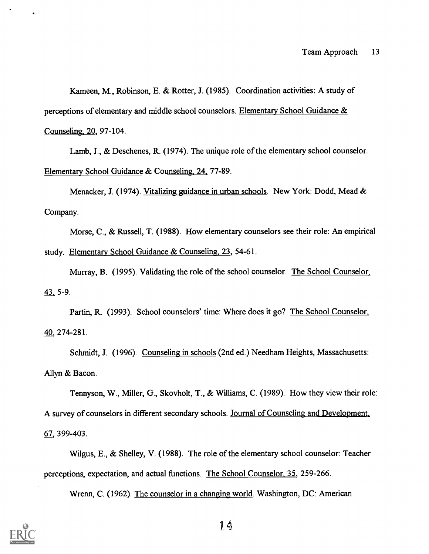Kameen, M., Robinson, E. & Rotter, J. (1985). Coordination activities: A study of perceptions of elementary and middle school counselors. Elementary School Guidance & Counseling, 20, 97-104.

Lamb, J., & Deschenes, R. (1974). The unique role of the elementary school counselor. Elementary School Guidance & Counseling, 24, 77-89.

Menacker, J. (1974). Vitalizing guidance in urban schools. New York: Dodd, Mead & Company.

Morse, C., & Russell, T. (1988). How elementary counselors see their role: An empirical study. Elementary School Guidance & Counseling, 23, 54-61.

Murray, B. (1995). Validating the role of the school counselor. The School Counselor, 43 5-9.

Partin, R. (1993). School counselors' time: Where does it go? The School Counselor, 40, 274-281.

Schmidt, J. (1996). Counseling in schools (2nd ed.) Needham Heights, Massachusetts: Allyn & Bacon.

Tennyson, W., Miller, G., Skovholt, T., & Williams, C. (1989). How they view their role: A survey of counselors in different secondary schools. Journal of Counseling and Development, 67, 399-403.

Wilgus, E., & Shelley, V. (1988). The role of the elementary school counselor: Teacher perceptions, expectation, and actual functions. The School Counselor, 35, 259-266.

Wrenn, C. (1962). The counselor in a changing world. Washington, DC: American

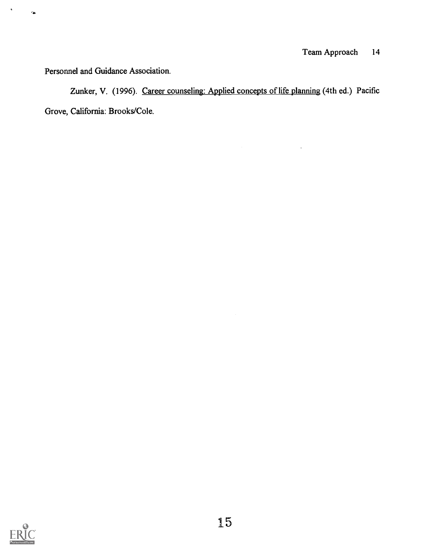Personnel and Guidance Association.

 $\tilde{\textbf{z}}$ 

 $\bullet$ 

Zunker, V. (1996). Career counseling: Applied concepts of life planning (4th ed.) Pacific Grove, California: Brooks/Cole.

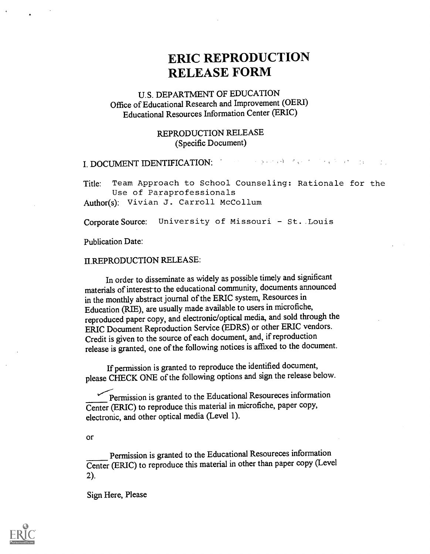# ERIC REPRODUCTION RELEASE FORM

## U.S. DEPARTMENT OF EDUCATION Office of Educational Research and Improvement (OEM) Educational Resources Information Center (ERIC)

### REPRODUCTION RELEASE (Specific Document)

# I. DOCUMENT IDENTIFICATION:

Title: Team Approach to School Counseling: Rationale for the Use of Paraprofessionals Author(s): Vivian J. Carroll McCollum

Corporate Source: University of Missouri - St. Louis

Publication Date:

#### II.REPRODUCTION RELEASE:

In order to disseminate as widely as possible timely and significant materials of interest to the educational community, documents announced in the monthly abstract journal of the ERIC system, Resources in Education (RIE), are usually made available to users in microfiche, reproduced paper copy, and electronic/optical media, and sold through the ERIC Document Reproduction Service (EDRS) or other ERIC vendors. Credit is given to the source of each document, and, if reproduction release is granted, one of the following notices is affixed to the document.

If permission is granted to reproduce the identified document, please CHECK ONE of the following options and sign the release below.

Permission is granted to the Educational Resoureces information Center (ERIC) to reproduce this material in microfiche, paper copy, electronic, and other optical media (Level 1).

#### Or

Permission is granted to the Educational Resoureces information Center (ERIC) to reproduce this material in other than paper copy (Level 2).

Sign Here, Please